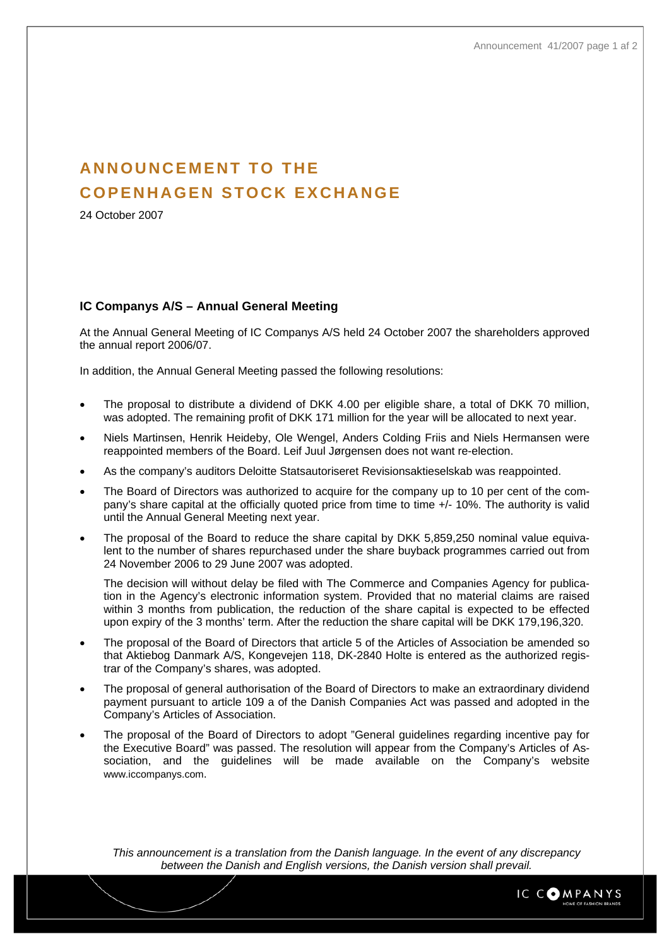## **ANNOUNCEMENT TO THE COPENHAGEN STOCK EXCHANGE**

24 October 2007

## **IC Companys A/S – Annual General Meeting**

At the Annual General Meeting of IC Companys A/S held 24 October 2007 the shareholders approved the annual report 2006/07.

In addition, the Annual General Meeting passed the following resolutions:

- The proposal to distribute a dividend of DKK 4.00 per eligible share, a total of DKK 70 million, was adopted. The remaining profit of DKK 171 million for the year will be allocated to next year.
- Niels Martinsen, Henrik Heideby, Ole Wengel, Anders Colding Friis and Niels Hermansen were reappointed members of the Board. Leif Juul Jørgensen does not want re-election.
- As the company's auditors Deloitte Statsautoriseret Revisionsaktieselskab was reappointed.
- The Board of Directors was authorized to acquire for the company up to 10 per cent of the company's share capital at the officially quoted price from time to time +/- 10%. The authority is valid until the Annual General Meeting next year.
- The proposal of the Board to reduce the share capital by DKK 5,859,250 nominal value equivalent to the number of shares repurchased under the share buyback programmes carried out from 24 November 2006 to 29 June 2007 was adopted.

The decision will without delay be filed with The Commerce and Companies Agency for publication in the Agency's electronic information system. Provided that no material claims are raised within 3 months from publication, the reduction of the share capital is expected to be effected upon expiry of the 3 months' term. After the reduction the share capital will be DKK 179,196,320.

- The proposal of the Board of Directors that article 5 of the Articles of Association be amended so that Aktiebog Danmark A/S, Kongevejen 118, DK-2840 Holte is entered as the authorized registrar of the Company's shares, was adopted.
- The proposal of general authorisation of the Board of Directors to make an extraordinary dividend payment pursuant to article 109 a of the Danish Companies Act was passed and adopted in the Company's Articles of Association.
- The proposal of the Board of Directors to adopt "General guidelines regarding incentive pay for the Executive Board" was passed. The resolution will appear from the Company's Articles of Association, and the guidelines will be made available on the Company's website [www.iccompanys.com](http://www.iccompanys.com/).

*This announcement is a translation from the Danish language. In the event of any discrepancy between the Danish and English versions, the Danish version shall prevail.*